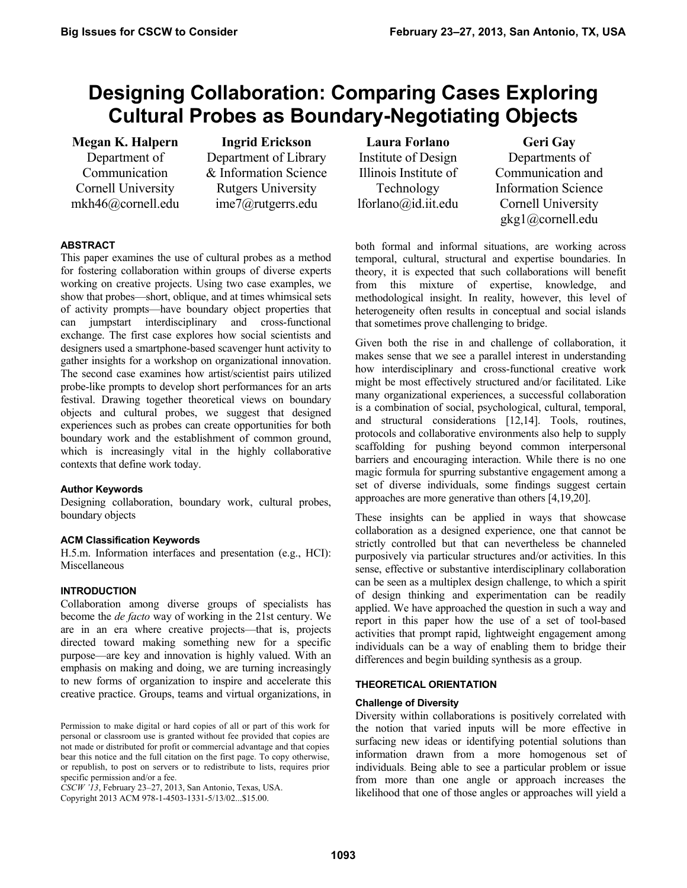# **Designing Collaboration: Comparing Cases Exploring Cultural Probes as Boundary-Negotiating Objects**

**Megan K. Halpern**  Department of Communication Cornell University mkh46@cornell.edu

**Ingrid Erickson**  Department of Library & Information Science Rutgers University ime7@rutgerrs.edu

Institute of Design Illinois Institute of Technology lforlano@id.iit.edu

**Laura Forlano** 

**Geri Gay**  Departments of Communication and Information Science Cornell University gkg1@cornell.edu

## both formal and informal situations, are working across temporal, cultural, structural and expertise boundaries. In theory, it is expected that such collaborations will benefit from this mixture of expertise, knowledge, and methodological insight. In reality, however, this level of heterogeneity often results in conceptual and social islands that sometimes prove challenging to bridge.

Given both the rise in and challenge of collaboration, it makes sense that we see a parallel interest in understanding how interdisciplinary and cross-functional creative work might be most effectively structured and/or facilitated. Like many organizational experiences, a successful collaboration is a combination of social, psychological, cultural, temporal, and structural considerations [12,14]. Tools, routines, protocols and collaborative environments also help to supply scaffolding for pushing beyond common interpersonal barriers and encouraging interaction. While there is no one magic formula for spurring substantive engagement among a set of diverse individuals, some findings suggest certain approaches are more generative than others [4,19,20].

These insights can be applied in ways that showcase collaboration as a designed experience, one that cannot be strictly controlled but that can nevertheless be channeled purposively via particular structures and/or activities. In this sense, effective or substantive interdisciplinary collaboration can be seen as a multiplex design challenge, to which a spirit of design thinking and experimentation can be readily applied. We have approached the question in such a way and report in this paper how the use of a set of tool-based activities that prompt rapid, lightweight engagement among individuals can be a way of enabling them to bridge their differences and begin building synthesis as a group.

# **THEORETICAL ORIENTATION**

#### **Challenge of Diversity**

Diversity within collaborations is positively correlated with the notion that varied inputs will be more effective in surfacing new ideas or identifying potential solutions than information drawn from a more homogenous set of individuals. Being able to see a particular problem or issue from more than one angle or approach increases the likelihood that one of those angles or approaches will yield a

#### **ABSTRACT**

This paper examines the use of cultural probes as a method for fostering collaboration within groups of diverse experts working on creative projects. Using two case examples, we show that probes—short, oblique, and at times whimsical sets of activity prompts—have boundary object properties that can jumpstart interdisciplinary and cross-functional exchange. The first case explores how social scientists and designers used a smartphone-based scavenger hunt activity to gather insights for a workshop on organizational innovation. The second case examines how artist/scientist pairs utilized probe-like prompts to develop short performances for an arts festival. Drawing together theoretical views on boundary objects and cultural probes, we suggest that designed experiences such as probes can create opportunities for both boundary work and the establishment of common ground, which is increasingly vital in the highly collaborative contexts that define work today.

#### **Author Keywords**

Designing collaboration, boundary work, cultural probes, boundary objects

#### **ACM Classification Keywords**

H.5.m. Information interfaces and presentation (e.g., HCI): Miscellaneous

## **INTRODUCTION**

Collaboration among diverse groups of specialists has become the *de facto* way of working in the 21st century. We are in an era where creative projects—that is, projects directed toward making something new for a specific purpose—are key and innovation is highly valued. With an emphasis on making and doing, we are turning increasingly to new forms of organization to inspire and accelerate this creative practice. Groups, teams and virtual organizations, in

*CSCW '13*, February 23–27, 2013, San Antonio, Texas, USA.

Permission to make digital or hard copies of all or part of this work for personal or classroom use is granted without fee provided that copies are not made or distributed for profit or commercial advantage and that copies bear this notice and the full citation on the first page. To copy otherwise, or republish, to post on servers or to redistribute to lists, requires prior specific permission and/or a fee.

Copyright 2013 ACM 978-1-4503-1331-5/13/02...\$15.00.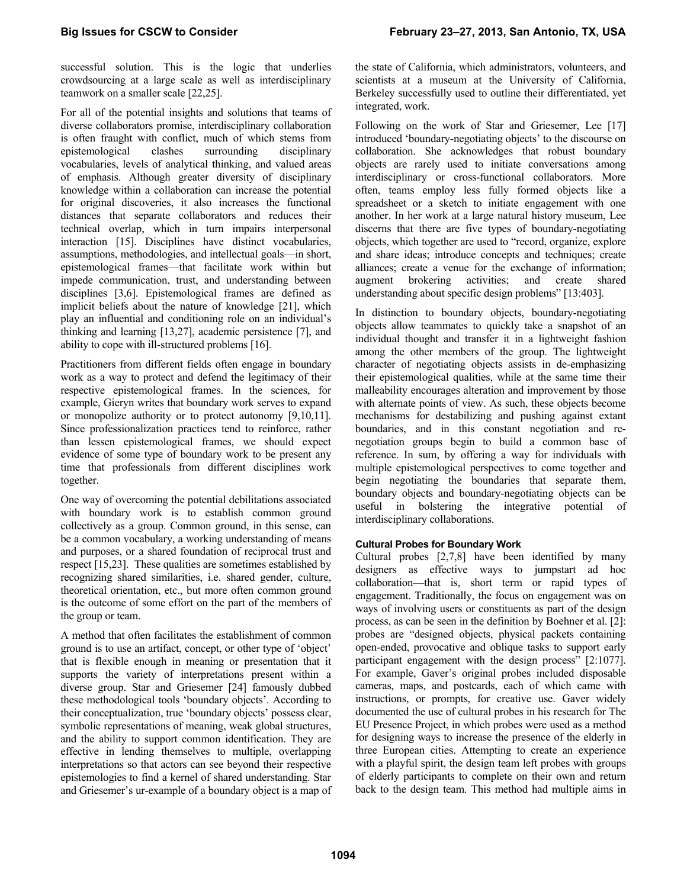successful solution. This is the logic that underlies crowdsourcing at a large scale as well as interdisciplinary teamwork on a smaller scale [22,25].

For all of the potential insights and solutions that teams of diverse collaborators promise, interdisciplinary collaboration is often fraught with conflict, much of which stems from epistemological clashes surrounding disciplinary vocabularies, levels of analytical thinking, and valued areas of emphasis. Although greater diversity of disciplinary knowledge within a collaboration can increase the potential for original discoveries, it also increases the functional distances that separate collaborators and reduces their technical overlap, which in turn impairs interpersonal interaction [15]. Disciplines have distinct vocabularies, assumptions, methodologies, and intellectual goals—in short, epistemological frames—that facilitate work within but impede communication, trust, and understanding between disciplines [3,6]. Epistemological frames are defined as implicit beliefs about the nature of knowledge [21], which play an influential and conditioning role on an individual's thinking and learning [13,27], academic persistence [7], and ability to cope with ill-structured problems [16].

Practitioners from different fields often engage in boundary work as a way to protect and defend the legitimacy of their respective epistemological frames. In the sciences, for example, Gieryn writes that boundary work serves to expand or monopolize authority or to protect autonomy [9,10,11]. Since professionalization practices tend to reinforce, rather than lessen epistemological frames, we should expect evidence of some type of boundary work to be present any time that professionals from different disciplines work together.

One way of overcoming the potential debilitations associated with boundary work is to establish common ground collectively as a group. Common ground, in this sense, can be a common vocabulary, a working understanding of means and purposes, or a shared foundation of reciprocal trust and respect [15,23]. These qualities are sometimes established by recognizing shared similarities, i.e. shared gender, culture, theoretical orientation, etc., but more often common ground is the outcome of some effort on the part of the members of the group or team.

A method that often facilitates the establishment of common ground is to use an artifact, concept, or other type of 'object' that is flexible enough in meaning or presentation that it supports the variety of interpretations present within a diverse group. Star and Griesemer [24] famously dubbed these methodological tools 'boundary objects'. According to their conceptualization, true 'boundary objects' possess clear, symbolic representations of meaning, weak global structures, and the ability to support common identification. They are effective in lending themselves to multiple, overlapping interpretations so that actors can see beyond their respective epistemologies to find a kernel of shared understanding. Star and Griesemer's ur-example of a boundary object is a map of the state of California, which administrators, volunteers, and scientists at a museum at the University of California, Berkeley successfully used to outline their differentiated, yet integrated, work.

Following on the work of Star and Griesemer, Lee [17] introduced 'boundary-negotiating objects' to the discourse on collaboration. She acknowledges that robust boundary objects are rarely used to initiate conversations among interdisciplinary or cross-functional collaborators. More often, teams employ less fully formed objects like a spreadsheet or a sketch to initiate engagement with one another. In her work at a large natural history museum, Lee discerns that there are five types of boundary-negotiating objects, which together are used to "record, organize, explore and share ideas; introduce concepts and techniques; create alliances; create a venue for the exchange of information; augment brokering activities; and create shared understanding about specific design problems" [13:403].

In distinction to boundary objects, boundary-negotiating objects allow teammates to quickly take a snapshot of an individual thought and transfer it in a lightweight fashion among the other members of the group. The lightweight character of negotiating objects assists in de-emphasizing their epistemological qualities, while at the same time their malleability encourages alteration and improvement by those with alternate points of view. As such, these objects become mechanisms for destabilizing and pushing against extant boundaries, and in this constant negotiation and renegotiation groups begin to build a common base of reference. In sum, by offering a way for individuals with multiple epistemological perspectives to come together and begin negotiating the boundaries that separate them, boundary objects and boundary-negotiating objects can be useful in bolstering the integrative potential of interdisciplinary collaborations.

# **Cultural Probes for Boundary Work**

Cultural probes [2,7,8] have been identified by many designers as effective ways to jumpstart ad hoc collaboration—that is, short term or rapid types of engagement. Traditionally, the focus on engagement was on ways of involving users or constituents as part of the design process, as can be seen in the definition by Boehner et al. [2]: probes are "designed objects, physical packets containing open-ended, provocative and oblique tasks to support early participant engagement with the design process" [2:1077]. For example, Gaver's original probes included disposable cameras, maps, and postcards, each of which came with instructions, or prompts, for creative use. Gaver widely documented the use of cultural probes in his research for The EU Presence Project, in which probes were used as a method for designing ways to increase the presence of the elderly in three European cities. Attempting to create an experience with a playful spirit, the design team left probes with groups of elderly participants to complete on their own and return back to the design team. This method had multiple aims in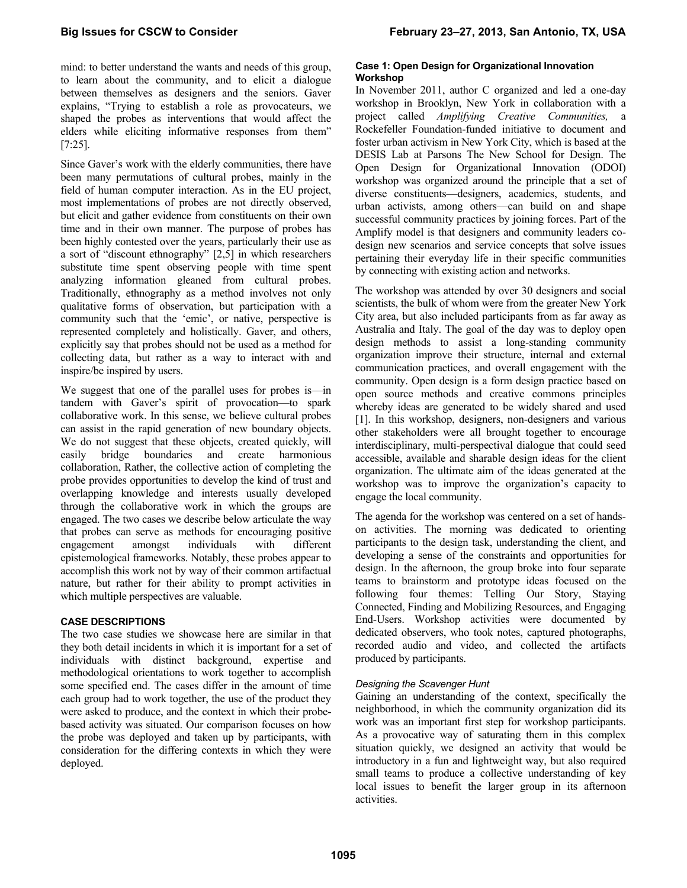mind: to better understand the wants and needs of this group, to learn about the community, and to elicit a dialogue between themselves as designers and the seniors. Gaver explains, "Trying to establish a role as provocateurs, we shaped the probes as interventions that would affect the elders while eliciting informative responses from them" [7:25].

Since Gaver's work with the elderly communities, there have been many permutations of cultural probes, mainly in the field of human computer interaction. As in the EU project, most implementations of probes are not directly observed, but elicit and gather evidence from constituents on their own time and in their own manner. The purpose of probes has been highly contested over the years, particularly their use as a sort of "discount ethnography" [2,5] in which researchers substitute time spent observing people with time spent analyzing information gleaned from cultural probes. Traditionally, ethnography as a method involves not only qualitative forms of observation, but participation with a community such that the 'emic', or native, perspective is represented completely and holistically. Gaver, and others, explicitly say that probes should not be used as a method for collecting data, but rather as a way to interact with and inspire/be inspired by users.

We suggest that one of the parallel uses for probes is—in tandem with Gaver's spirit of provocation—to spark collaborative work. In this sense, we believe cultural probes can assist in the rapid generation of new boundary objects. We do not suggest that these objects, created quickly, will easily bridge boundaries and create harmonious collaboration, Rather, the collective action of completing the probe provides opportunities to develop the kind of trust and overlapping knowledge and interests usually developed through the collaborative work in which the groups are engaged. The two cases we describe below articulate the way that probes can serve as methods for encouraging positive engagement amongst individuals with different epistemological frameworks. Notably, these probes appear to accomplish this work not by way of their common artifactual nature, but rather for their ability to prompt activities in which multiple perspectives are valuable.

# **CASE DESCRIPTIONS**

The two case studies we showcase here are similar in that they both detail incidents in which it is important for a set of individuals with distinct background, expertise and methodological orientations to work together to accomplish some specified end. The cases differ in the amount of time each group had to work together, the use of the product they were asked to produce, and the context in which their probebased activity was situated. Our comparison focuses on how the probe was deployed and taken up by participants, with consideration for the differing contexts in which they were deployed.

# **Case 1: Open Design for Organizational Innovation Workshop**

In November 2011, author C organized and led a one-day workshop in Brooklyn, New York in collaboration with a project called *Amplifying Creative Communities,* a Rockefeller Foundation-funded initiative to document and foster urban activism in New York City, which is based at the DESIS Lab at Parsons The New School for Design. The Open Design for Organizational Innovation (ODOI) workshop was organized around the principle that a set of diverse constituents—designers, academics, students, and urban activists, among others—can build on and shape successful community practices by joining forces. Part of the Amplify model is that designers and community leaders codesign new scenarios and service concepts that solve issues pertaining their everyday life in their specific communities by connecting with existing action and networks.

The workshop was attended by over 30 designers and social scientists, the bulk of whom were from the greater New York City area, but also included participants from as far away as Australia and Italy. The goal of the day was to deploy open design methods to assist a long-standing community organization improve their structure, internal and external communication practices, and overall engagement with the community. Open design is a form design practice based on open source methods and creative commons principles whereby ideas are generated to be widely shared and used [1]. In this workshop, designers, non-designers and various other stakeholders were all brought together to encourage interdisciplinary, multi-perspectival dialogue that could seed accessible, available and sharable design ideas for the client organization. The ultimate aim of the ideas generated at the workshop was to improve the organization's capacity to engage the local community.

The agenda for the workshop was centered on a set of handson activities. The morning was dedicated to orienting participants to the design task, understanding the client, and developing a sense of the constraints and opportunities for design. In the afternoon, the group broke into four separate teams to brainstorm and prototype ideas focused on the following four themes: Telling Our Story, Staying Connected, Finding and Mobilizing Resources, and Engaging End-Users. Workshop activities were documented by dedicated observers, who took notes, captured photographs, recorded audio and video, and collected the artifacts produced by participants.

# *Designing the Scavenger Hunt*

Gaining an understanding of the context, specifically the neighborhood, in which the community organization did its work was an important first step for workshop participants. As a provocative way of saturating them in this complex situation quickly, we designed an activity that would be introductory in a fun and lightweight way, but also required small teams to produce a collective understanding of key local issues to benefit the larger group in its afternoon activities.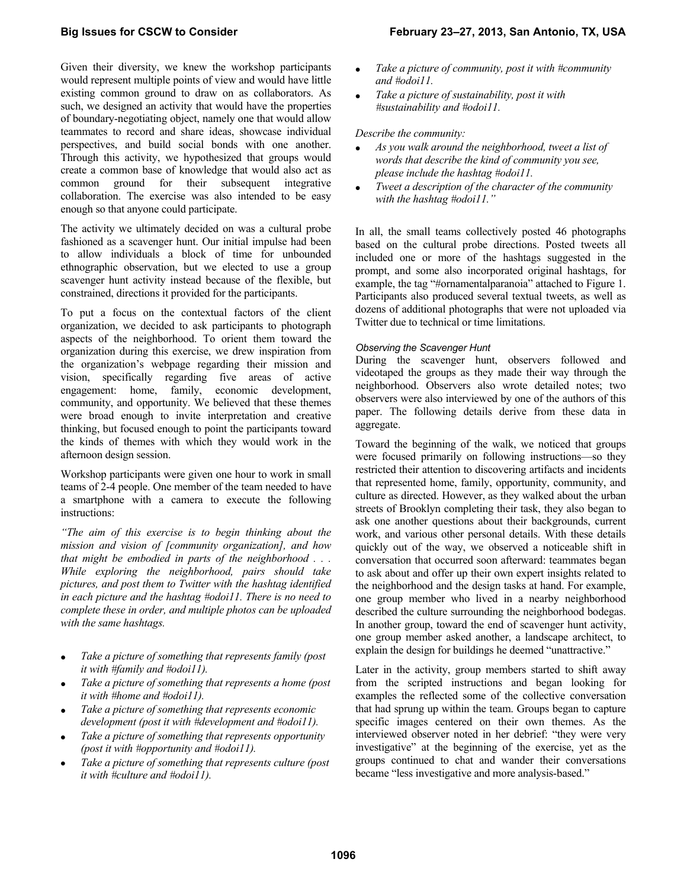Given their diversity, we knew the workshop participants would represent multiple points of view and would have little existing common ground to draw on as collaborators. As such, we designed an activity that would have the properties of boundary-negotiating object, namely one that would allow teammates to record and share ideas, showcase individual perspectives, and build social bonds with one another. Through this activity, we hypothesized that groups would create a common base of knowledge that would also act as common ground for their subsequent integrative collaboration. The exercise was also intended to be easy enough so that anyone could participate.

The activity we ultimately decided on was a cultural probe fashioned as a scavenger hunt. Our initial impulse had been to allow individuals a block of time for unbounded ethnographic observation, but we elected to use a group scavenger hunt activity instead because of the flexible, but constrained, directions it provided for the participants.

To put a focus on the contextual factors of the client organization, we decided to ask participants to photograph aspects of the neighborhood. To orient them toward the organization during this exercise, we drew inspiration from the organization's webpage regarding their mission and vision, specifically regarding five areas of active engagement: home, family, economic development, community, and opportunity. We believed that these themes were broad enough to invite interpretation and creative thinking, but focused enough to point the participants toward the kinds of themes with which they would work in the afternoon design session.

Workshop participants were given one hour to work in small teams of 2-4 people. One member of the team needed to have a smartphone with a camera to execute the following instructions:

*"The aim of this exercise is to begin thinking about the mission and vision of [community organization], and how that might be embodied in parts of the neighborhood . . . While exploring the neighborhood, pairs should take pictures, and post them to Twitter with the hashtag identified in each picture and the hashtag #odoi11. There is no need to complete these in order, and multiple photos can be uploaded with the same hashtags.* 

- *Take a picture of something that represents family (post it with #family and #odoi11).*
- *Take a picture of something that represents a home (post it with #home and #odoi11).*
- *Take a picture of something that represents economic development (post it with #development and #odoi11).*
- *Take a picture of something that represents opportunity (post it with #opportunity and #odoi11).*
- *Take a picture of something that represents culture (post it with #culture and #odoi11).*
- *Take a picture of community, post it with #community and #odoi11.*
- *Take a picture of sustainability, post it with #sustainability and #odoi11.*

# *Describe the community:*

- *As you walk around the neighborhood, tweet a list of words that describe the kind of community you see, please include the hashtag #odoi11.*
- *Tweet a description of the character of the community with the hashtag #odoi11."*

In all, the small teams collectively posted 46 photographs based on the cultural probe directions. Posted tweets all included one or more of the hashtags suggested in the prompt, and some also incorporated original hashtags, for example, the tag "#ornamentalparanoia" attached to Figure 1. Participants also produced several textual tweets, as well as dozens of additional photographs that were not uploaded via Twitter due to technical or time limitations.

# *Observing the Scavenger Hunt*

During the scavenger hunt, observers followed and videotaped the groups as they made their way through the neighborhood. Observers also wrote detailed notes; two observers were also interviewed by one of the authors of this paper. The following details derive from these data in aggregate.

Toward the beginning of the walk, we noticed that groups were focused primarily on following instructions—so they restricted their attention to discovering artifacts and incidents that represented home, family, opportunity, community, and culture as directed. However, as they walked about the urban streets of Brooklyn completing their task, they also began to ask one another questions about their backgrounds, current work, and various other personal details. With these details quickly out of the way, we observed a noticeable shift in conversation that occurred soon afterward: teammates began to ask about and offer up their own expert insights related to the neighborhood and the design tasks at hand. For example, one group member who lived in a nearby neighborhood described the culture surrounding the neighborhood bodegas. In another group, toward the end of scavenger hunt activity, one group member asked another, a landscape architect, to explain the design for buildings he deemed "unattractive."

Later in the activity, group members started to shift away from the scripted instructions and began looking for examples the reflected some of the collective conversation that had sprung up within the team. Groups began to capture specific images centered on their own themes. As the interviewed observer noted in her debrief: "they were very investigative" at the beginning of the exercise, yet as the groups continued to chat and wander their conversations became "less investigative and more analysis-based."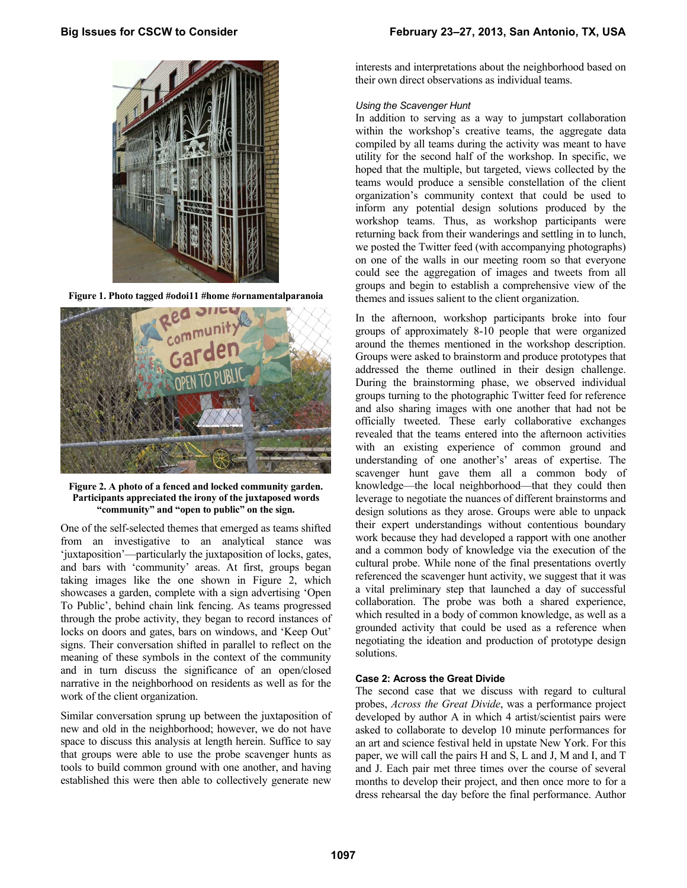

**Figure 1. Photo tagged #odoi11 #home #ornamentalparanoia** 



**Figure 2. A photo of a fenced and locked community garden. Participants appreciated the irony of the juxtaposed words "community" and "open to public" on the sign.** 

One of the self-selected themes that emerged as teams shifted from an investigative to an analytical stance was 'juxtaposition'—particularly the juxtaposition of locks, gates, and bars with 'community' areas. At first, groups began taking images like the one shown in Figure 2, which showcases a garden, complete with a sign advertising 'Open To Public', behind chain link fencing. As teams progressed through the probe activity, they began to record instances of locks on doors and gates, bars on windows, and 'Keep Out' signs. Their conversation shifted in parallel to reflect on the meaning of these symbols in the context of the community and in turn discuss the significance of an open/closed narrative in the neighborhood on residents as well as for the work of the client organization.

Similar conversation sprung up between the juxtaposition of new and old in the neighborhood; however, we do not have space to discuss this analysis at length herein. Suffice to say that groups were able to use the probe scavenger hunts as tools to build common ground with one another, and having established this were then able to collectively generate new

interests and interpretations about the neighborhood based on their own direct observations as individual teams.

#### *Using the Scavenger Hunt*

In addition to serving as a way to jumpstart collaboration within the workshop's creative teams, the aggregate data compiled by all teams during the activity was meant to have utility for the second half of the workshop. In specific, we hoped that the multiple, but targeted, views collected by the teams would produce a sensible constellation of the client organization's community context that could be used to inform any potential design solutions produced by the workshop teams. Thus, as workshop participants were returning back from their wanderings and settling in to lunch, we posted the Twitter feed (with accompanying photographs) on one of the walls in our meeting room so that everyone could see the aggregation of images and tweets from all groups and begin to establish a comprehensive view of the themes and issues salient to the client organization.

In the afternoon, workshop participants broke into four groups of approximately 8-10 people that were organized around the themes mentioned in the workshop description. Groups were asked to brainstorm and produce prototypes that addressed the theme outlined in their design challenge. During the brainstorming phase, we observed individual groups turning to the photographic Twitter feed for reference and also sharing images with one another that had not be officially tweeted. These early collaborative exchanges revealed that the teams entered into the afternoon activities with an existing experience of common ground and understanding of one another's' areas of expertise. The scavenger hunt gave them all a common body of knowledge—the local neighborhood—that they could then leverage to negotiate the nuances of different brainstorms and design solutions as they arose. Groups were able to unpack their expert understandings without contentious boundary work because they had developed a rapport with one another and a common body of knowledge via the execution of the cultural probe. While none of the final presentations overtly referenced the scavenger hunt activity, we suggest that it was a vital preliminary step that launched a day of successful collaboration. The probe was both a shared experience, which resulted in a body of common knowledge, as well as a grounded activity that could be used as a reference when negotiating the ideation and production of prototype design solutions.

#### **Case 2: Across the Great Divide**

The second case that we discuss with regard to cultural probes, *Across the Great Divide*, was a performance project developed by author A in which 4 artist/scientist pairs were asked to collaborate to develop 10 minute performances for an art and science festival held in upstate New York. For this paper, we will call the pairs H and S, L and J, M and I, and T and J. Each pair met three times over the course of several months to develop their project, and then once more to for a dress rehearsal the day before the final performance. Author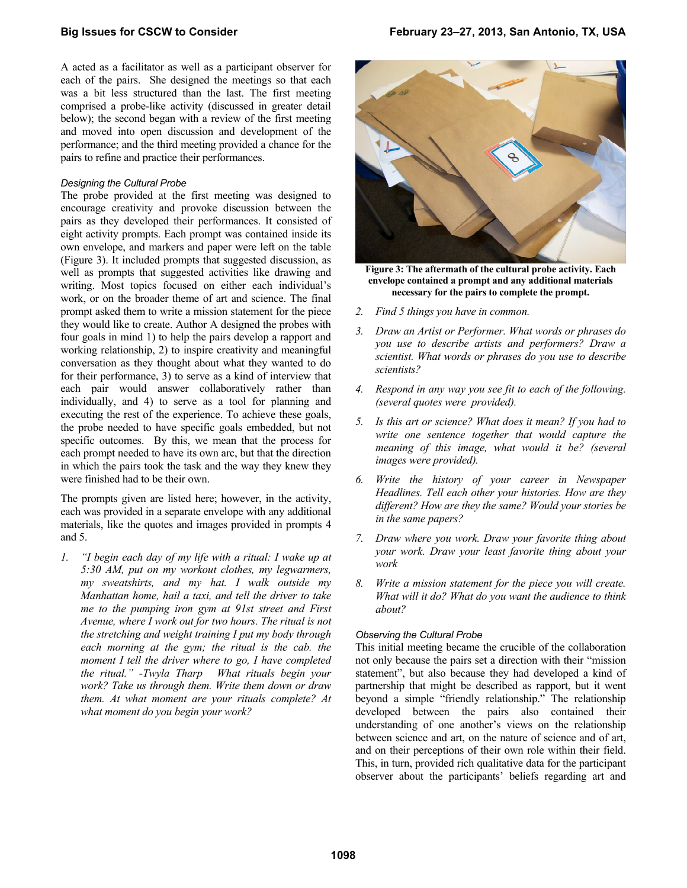A acted as a facilitator as well as a participant observer for each of the pairs. She designed the meetings so that each was a bit less structured than the last. The first meeting comprised a probe-like activity (discussed in greater detail below); the second began with a review of the first meeting and moved into open discussion and development of the performance; and the third meeting provided a chance for the pairs to refine and practice their performances.

# *Designing the Cultural Probe*

The probe provided at the first meeting was designed to encourage creativity and provoke discussion between the pairs as they developed their performances. It consisted of eight activity prompts. Each prompt was contained inside its own envelope, and markers and paper were left on the table (Figure 3). It included prompts that suggested discussion, as well as prompts that suggested activities like drawing and writing. Most topics focused on either each individual's work, or on the broader theme of art and science. The final prompt asked them to write a mission statement for the piece they would like to create. Author A designed the probes with four goals in mind 1) to help the pairs develop a rapport and working relationship, 2) to inspire creativity and meaningful conversation as they thought about what they wanted to do for their performance, 3) to serve as a kind of interview that each pair would answer collaboratively rather than individually, and 4) to serve as a tool for planning and executing the rest of the experience. To achieve these goals, the probe needed to have specific goals embedded, but not specific outcomes. By this, we mean that the process for each prompt needed to have its own arc, but that the direction in which the pairs took the task and the way they knew they were finished had to be their own.

The prompts given are listed here; however, in the activity, each was provided in a separate envelope with any additional materials, like the quotes and images provided in prompts 4 and 5.

*1. "I begin each day of my life with a ritual: I wake up at 5:30 AM, put on my workout clothes, my legwarmers, my sweatshirts, and my hat. I walk outside my Manhattan home, hail a taxi, and tell the driver to take me to the pumping iron gym at 91st street and First Avenue, where I work out for two hours. The ritual is not the stretching and weight training I put my body through each morning at the gym; the ritual is the cab. the moment I tell the driver where to go, I have completed the ritual." -Twyla Tharp What rituals begin your work? Take us through them. Write them down or draw them. At what moment are your rituals complete? At what moment do you begin your work?* 



**Figure 3: The aftermath of the cultural probe activity. Each envelope contained a prompt and any additional materials necessary for the pairs to complete the prompt.** 

- *2. Find 5 things you have in common.*
- *3. Draw an Artist or Performer. What words or phrases do you use to describe artists and performers? Draw a scientist. What words or phrases do you use to describe scientists?*
- *4. Respond in any way you see fit to each of the following. (several quotes were provided).*
- *5. Is this art or science? What does it mean? If you had to write one sentence together that would capture the meaning of this image, what would it be? (several images were provided).*
- *6. Write the history of your career in Newspaper Headlines. Tell each other your histories. How are they different? How are they the same? Would your stories be in the same papers?*
- *7. Draw where you work. Draw your favorite thing about your work. Draw your least favorite thing about your work*
- *8. Write a mission statement for the piece you will create. What will it do? What do you want the audience to think about?*

# *Observing the Cultural Probe*

This initial meeting became the crucible of the collaboration not only because the pairs set a direction with their "mission statement", but also because they had developed a kind of partnership that might be described as rapport, but it went beyond a simple "friendly relationship." The relationship developed between the pairs also contained their understanding of one another's views on the relationship between science and art, on the nature of science and of art, and on their perceptions of their own role within their field. This, in turn, provided rich qualitative data for the participant observer about the participants' beliefs regarding art and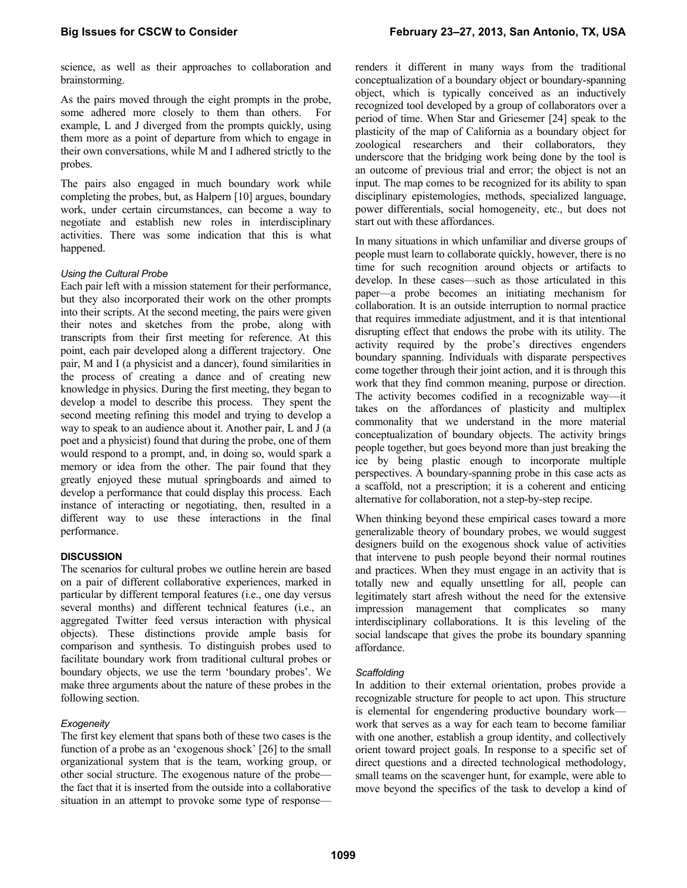science, as well as their approaches to collaboration and brainstorming.

As the pairs moved through the eight prompts in the probe, some adhered more closely to them than others. For example, L and J diverged from the prompts quickly, using them more as a point of departure from which to engage in their own conversations, while M and I adhered strictly to the probes.

The pairs also engaged in much boundary work while completing the probes, but, as Halpern [10] argues, boundary work, under certain circumstances, can become a way to negotiate and establish new roles in interdisciplinary activities. There was some indication that this is what happened.

### *Using the Cultural Probe*

Each pair left with a mission statement for their performance, but they also incorporated their work on the other prompts into their scripts. At the second meeting, the pairs were given their notes and sketches from the probe, along with transcripts from their first meeting for reference. At this point, each pair developed along a different trajectory. One pair, M and I (a physicist and a dancer), found similarities in the process of creating a dance and of creating new knowledge in physics. During the first meeting, they began to develop a model to describe this process. They spent the second meeting refining this model and trying to develop a way to speak to an audience about it. Another pair, L and J (a poet and a physicist) found that during the probe, one of them would respond to a prompt, and, in doing so, would spark a memory or idea from the other. The pair found that they greatly enjoyed these mutual springboards and aimed to develop a performance that could display this process. Each instance of interacting or negotiating, then, resulted in a different way to use these interactions in the final performance.

# **DISCUSSION**

The scenarios for cultural probes we outline herein are based on a pair of different collaborative experiences, marked in particular by different temporal features (i.e., one day versus several months) and different technical features (i.e., an aggregated Twitter feed versus interaction with physical objects). These distinctions provide ample basis for comparison and synthesis. To distinguish probes used to facilitate boundary work from traditional cultural probes or boundary objects, we use the term 'boundary probes'. We make three arguments about the nature of these probes in the following section.

# *Exogeneity*

The first key element that spans both of these two cases is the function of a probe as an 'exogenous shock' [26] to the small organizational system that is the team, working group, or other social structure. The exogenous nature of the probe the fact that it is inserted from the outside into a collaborative situation in an attempt to provoke some type of responserenders it different in many ways from the traditional conceptualization of a boundary object or boundary-spanning object, which is typically conceived as an inductively recognized tool developed by a group of collaborators over a period of time. When Star and Griesemer [24] speak to the plasticity of the map of California as a boundary object for zoological researchers and their collaborators, they underscore that the bridging work being done by the tool is an outcome of previous trial and error; the object is not an input. The map comes to be recognized for its ability to span disciplinary epistemologies, methods, specialized language, power differentials, social homogeneity, etc., but does not start out with these affordances.

In many situations in which unfamiliar and diverse groups of people must learn to collaborate quickly, however, there is no time for such recognition around objects or artifacts to develop. In these cases—such as those articulated in this paper—a probe becomes an initiating mechanism for collaboration. It is an outside interruption to normal practice that requires immediate adjustment, and it is that intentional disrupting effect that endows the probe with its utility. The activity required by the probe's directives engenders boundary spanning. Individuals with disparate perspectives come together through their joint action, and it is through this work that they find common meaning, purpose or direction. The activity becomes codified in a recognizable way—it takes on the affordances of plasticity and multiplex commonality that we understand in the more material conceptualization of boundary objects. The activity brings people together, but goes beyond more than just breaking the ice by being plastic enough to incorporate multiple perspectives. A boundary-spanning probe in this case acts as a scaffold, not a prescription; it is a coherent and enticing alternative for collaboration, not a step-by-step recipe.

When thinking beyond these empirical cases toward a more generalizable theory of boundary probes, we would suggest designers build on the exogenous shock value of activities that intervene to push people beyond their normal routines and practices. When they must engage in an activity that is totally new and equally unsettling for all, people can legitimately start afresh without the need for the extensive impression management that complicates so many interdisciplinary collaborations. It is this leveling of the social landscape that gives the probe its boundary spanning affordance.

# *Scaffolding*

In addition to their external orientation, probes provide a recognizable structure for people to act upon. This structure is elemental for engendering productive boundary work work that serves as a way for each team to become familiar with one another, establish a group identity, and collectively orient toward project goals. In response to a specific set of direct questions and a directed technological methodology, small teams on the scavenger hunt, for example, were able to move beyond the specifics of the task to develop a kind of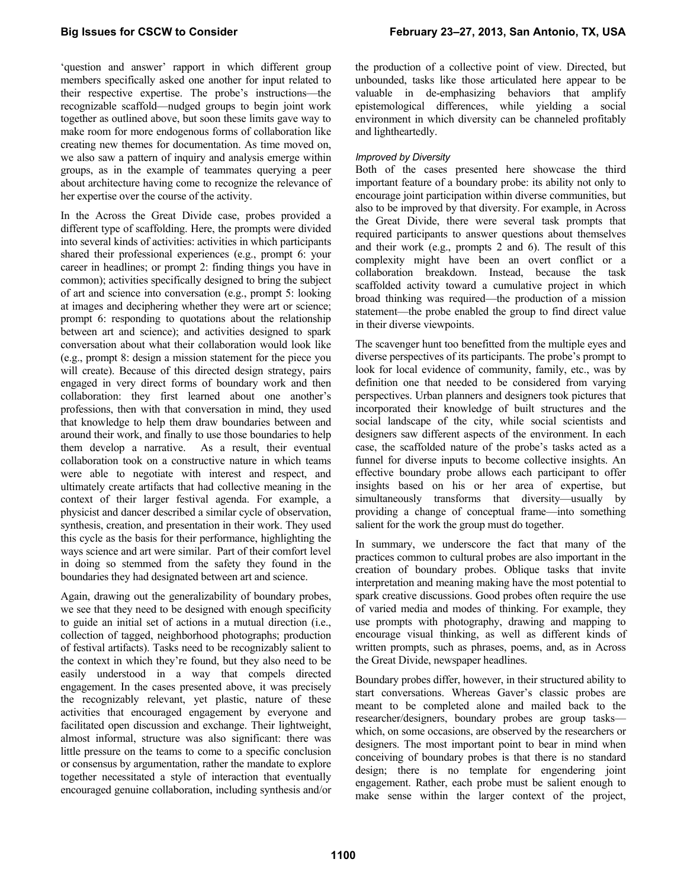'question and answer' rapport in which different group members specifically asked one another for input related to their respective expertise. The probe's instructions—the recognizable scaffold—nudged groups to begin joint work together as outlined above, but soon these limits gave way to make room for more endogenous forms of collaboration like creating new themes for documentation. As time moved on, we also saw a pattern of inquiry and analysis emerge within groups, as in the example of teammates querying a peer about architecture having come to recognize the relevance of her expertise over the course of the activity.

In the Across the Great Divide case, probes provided a different type of scaffolding. Here, the prompts were divided into several kinds of activities: activities in which participants shared their professional experiences (e.g., prompt 6: your career in headlines; or prompt 2: finding things you have in common); activities specifically designed to bring the subject of art and science into conversation (e.g., prompt 5: looking at images and deciphering whether they were art or science; prompt 6: responding to quotations about the relationship between art and science); and activities designed to spark conversation about what their collaboration would look like (e.g., prompt 8: design a mission statement for the piece you will create). Because of this directed design strategy, pairs engaged in very direct forms of boundary work and then collaboration: they first learned about one another's professions, then with that conversation in mind, they used that knowledge to help them draw boundaries between and around their work, and finally to use those boundaries to help them develop a narrative. As a result, their eventual collaboration took on a constructive nature in which teams were able to negotiate with interest and respect, and ultimately create artifacts that had collective meaning in the context of their larger festival agenda. For example, a physicist and dancer described a similar cycle of observation, synthesis, creation, and presentation in their work. They used this cycle as the basis for their performance, highlighting the ways science and art were similar. Part of their comfort level in doing so stemmed from the safety they found in the boundaries they had designated between art and science.

Again, drawing out the generalizability of boundary probes, we see that they need to be designed with enough specificity to guide an initial set of actions in a mutual direction (i.e., collection of tagged, neighborhood photographs; production of festival artifacts). Tasks need to be recognizably salient to the context in which they're found, but they also need to be easily understood in a way that compels directed engagement. In the cases presented above, it was precisely the recognizably relevant, yet plastic, nature of these activities that encouraged engagement by everyone and facilitated open discussion and exchange. Their lightweight, almost informal, structure was also significant: there was little pressure on the teams to come to a specific conclusion or consensus by argumentation, rather the mandate to explore together necessitated a style of interaction that eventually encouraged genuine collaboration, including synthesis and/or

the production of a collective point of view. Directed, but unbounded, tasks like those articulated here appear to be valuable in de-emphasizing behaviors that amplify epistemological differences, while yielding a social environment in which diversity can be channeled profitably and lightheartedly.

# *Improved by Diversity*

Both of the cases presented here showcase the third important feature of a boundary probe: its ability not only to encourage joint participation within diverse communities, but also to be improved by that diversity. For example, in Across the Great Divide, there were several task prompts that required participants to answer questions about themselves and their work (e.g., prompts 2 and 6). The result of this complexity might have been an overt conflict or a collaboration breakdown. Instead, because the task scaffolded activity toward a cumulative project in which broad thinking was required—the production of a mission statement—the probe enabled the group to find direct value in their diverse viewpoints.

The scavenger hunt too benefitted from the multiple eyes and diverse perspectives of its participants. The probe's prompt to look for local evidence of community, family, etc., was by definition one that needed to be considered from varying perspectives. Urban planners and designers took pictures that incorporated their knowledge of built structures and the social landscape of the city, while social scientists and designers saw different aspects of the environment. In each case, the scaffolded nature of the probe's tasks acted as a funnel for diverse inputs to become collective insights. An effective boundary probe allows each participant to offer insights based on his or her area of expertise, but simultaneously transforms that diversity—usually by providing a change of conceptual frame—into something salient for the work the group must do together.

In summary, we underscore the fact that many of the practices common to cultural probes are also important in the creation of boundary probes. Oblique tasks that invite interpretation and meaning making have the most potential to spark creative discussions. Good probes often require the use of varied media and modes of thinking. For example, they use prompts with photography, drawing and mapping to encourage visual thinking, as well as different kinds of written prompts, such as phrases, poems, and, as in Across the Great Divide, newspaper headlines.

Boundary probes differ, however, in their structured ability to start conversations. Whereas Gaver's classic probes are meant to be completed alone and mailed back to the researcher/designers, boundary probes are group tasks which, on some occasions, are observed by the researchers or designers. The most important point to bear in mind when conceiving of boundary probes is that there is no standard design; there is no template for engendering joint engagement. Rather, each probe must be salient enough to make sense within the larger context of the project,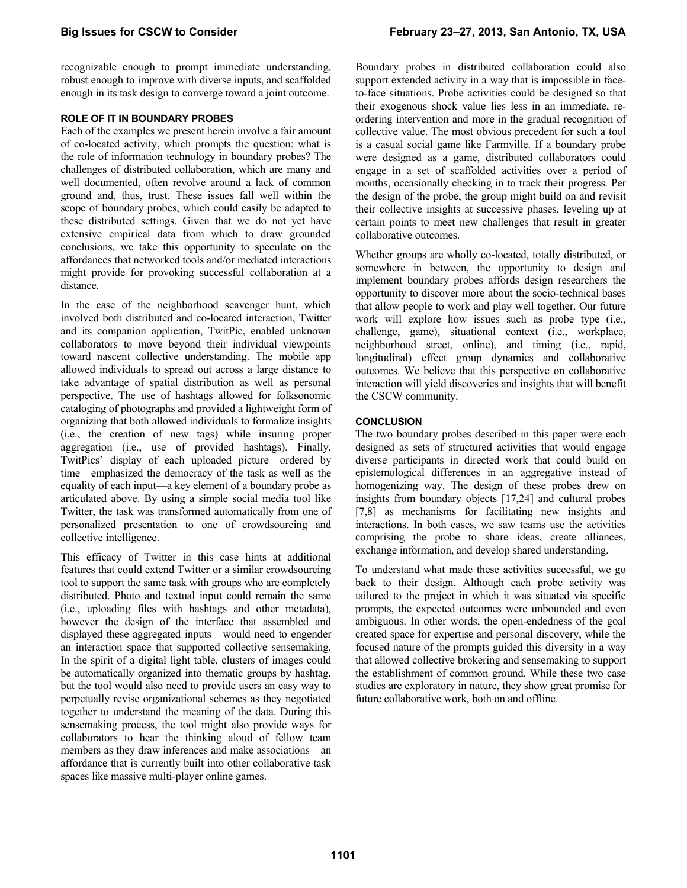recognizable enough to prompt immediate understanding, robust enough to improve with diverse inputs, and scaffolded enough in its task design to converge toward a joint outcome.

#### **ROLE OF IT IN BOUNDARY PROBES**

Each of the examples we present herein involve a fair amount of co-located activity, which prompts the question: what is the role of information technology in boundary probes? The challenges of distributed collaboration, which are many and well documented, often revolve around a lack of common ground and, thus, trust. These issues fall well within the scope of boundary probes, which could easily be adapted to these distributed settings. Given that we do not yet have extensive empirical data from which to draw grounded conclusions, we take this opportunity to speculate on the affordances that networked tools and/or mediated interactions might provide for provoking successful collaboration at a distance.

In the case of the neighborhood scavenger hunt, which involved both distributed and co-located interaction, Twitter and its companion application, TwitPic, enabled unknown collaborators to move beyond their individual viewpoints toward nascent collective understanding. The mobile app allowed individuals to spread out across a large distance to take advantage of spatial distribution as well as personal perspective. The use of hashtags allowed for folksonomic cataloging of photographs and provided a lightweight form of organizing that both allowed individuals to formalize insights (i.e., the creation of new tags) while insuring proper aggregation (i.e., use of provided hashtags). Finally, TwitPics' display of each uploaded picture—ordered by time—emphasized the democracy of the task as well as the equality of each input—a key element of a boundary probe as articulated above. By using a simple social media tool like Twitter, the task was transformed automatically from one of personalized presentation to one of crowdsourcing and collective intelligence.

This efficacy of Twitter in this case hints at additional features that could extend Twitter or a similar crowdsourcing tool to support the same task with groups who are completely distributed. Photo and textual input could remain the same (i.e., uploading files with hashtags and other metadata), however the design of the interface that assembled and displayed these aggregated inputs would need to engender an interaction space that supported collective sensemaking. In the spirit of a digital light table, clusters of images could be automatically organized into thematic groups by hashtag, but the tool would also need to provide users an easy way to perpetually revise organizational schemes as they negotiated together to understand the meaning of the data. During this sensemaking process, the tool might also provide ways for collaborators to hear the thinking aloud of fellow team members as they draw inferences and make associations—an affordance that is currently built into other collaborative task spaces like massive multi-player online games.

Boundary probes in distributed collaboration could also support extended activity in a way that is impossible in faceto-face situations. Probe activities could be designed so that their exogenous shock value lies less in an immediate, reordering intervention and more in the gradual recognition of collective value. The most obvious precedent for such a tool is a casual social game like Farmville. If a boundary probe were designed as a game, distributed collaborators could engage in a set of scaffolded activities over a period of months, occasionally checking in to track their progress. Per the design of the probe, the group might build on and revisit their collective insights at successive phases, leveling up at certain points to meet new challenges that result in greater collaborative outcomes.

Whether groups are wholly co-located, totally distributed, or somewhere in between, the opportunity to design and implement boundary probes affords design researchers the opportunity to discover more about the socio-technical bases that allow people to work and play well together. Our future work will explore how issues such as probe type (i.e., challenge, game), situational context (i.e., workplace, neighborhood street, online), and timing (i.e., rapid, longitudinal) effect group dynamics and collaborative outcomes. We believe that this perspective on collaborative interaction will yield discoveries and insights that will benefit the CSCW community.

### **CONCLUSION**

The two boundary probes described in this paper were each designed as sets of structured activities that would engage diverse participants in directed work that could build on epistemological differences in an aggregative instead of homogenizing way. The design of these probes drew on insights from boundary objects [17,24] and cultural probes [7,8] as mechanisms for facilitating new insights and interactions. In both cases, we saw teams use the activities comprising the probe to share ideas, create alliances, exchange information, and develop shared understanding.

To understand what made these activities successful, we go back to their design. Although each probe activity was tailored to the project in which it was situated via specific prompts, the expected outcomes were unbounded and even ambiguous. In other words, the open-endedness of the goal created space for expertise and personal discovery, while the focused nature of the prompts guided this diversity in a way that allowed collective brokering and sensemaking to support the establishment of common ground. While these two case studies are exploratory in nature, they show great promise for future collaborative work, both on and offline.